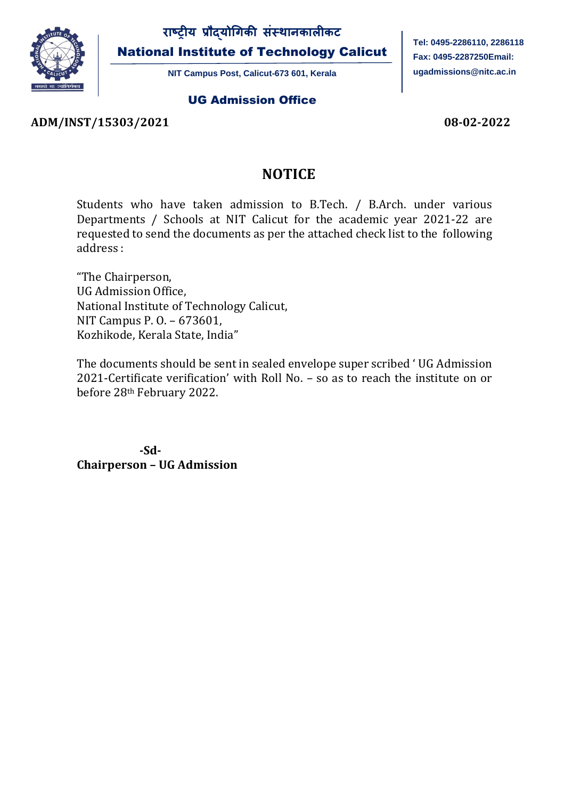

National Institute of Technology Calicut

**NIT Campus Post, Calicut-673 601, Kerala**

#### UG Admission Office

**Tel: 0495-2286110, 2286118 Fax: 0495-2287250Email: [ugadmissions@nitc.ac.in](mailto:ugadmissions@nitc.ac.in)**

### **ADM/INST/15303/2021 08-02-2022**

## **NOTICE**

Students who have taken admission to B.Tech. / B.Arch. under various Departments / Schools at NIT Calicut for the academic year 2021-22 are requested to send the documents as per the attached check list to the following address :

"The Chairperson, UG Admission Office, National Institute of Technology Calicut, NIT Campus P. O. – 673601, Kozhikode, Kerala State, India"

The documents should be sent in sealed envelope super scribed ' UG Admission 2021-Certificate verification' with Roll No. – so as to reach the institute on or before 28th February 2022.

 **-Sd-Chairperson – UG Admission**